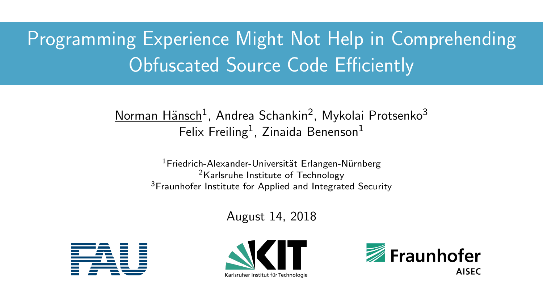# Programming Experience Might Not Help in Comprehending Obfuscated Source Code Efficiently

### <u>Norman Hänsch</u><sup>1</sup>, Andrea Schankin<sup>2</sup>, Mykolai Protsenko<sup>3</sup> Felix Freiling<sup>1</sup>, Zinaida Benenson<sup>1</sup>

<sup>1</sup>Friedrich-Alexander-Universität Erlangen-Nürnberg <sup>2</sup>Karlsruhe Institute of Technology <sup>3</sup>Fraunhofer Institute for Applied and Integrated Security

August 14, 2018





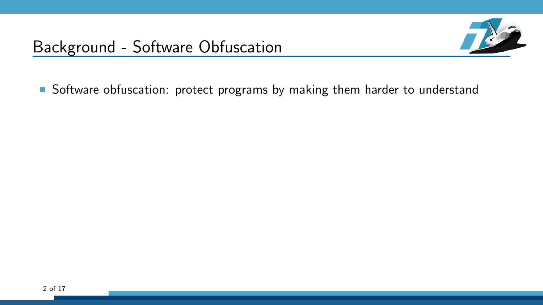

Software obfuscation: protect programs by making them harder to understand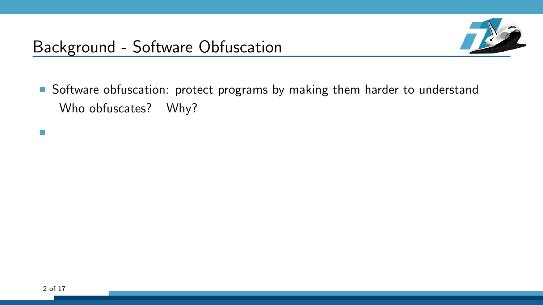

Software obfuscation: protect programs by making them harder to understand Who obfuscates? Why?

÷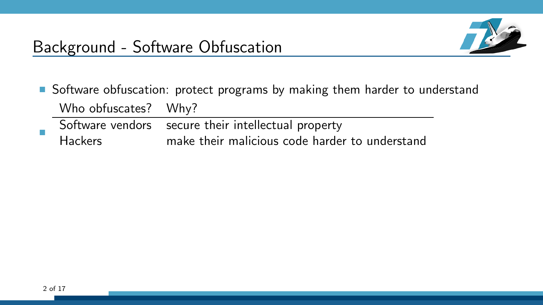

- Software obfuscation: protect programs by making them harder to understand Who obfuscates? Why? Software vendors secure their intellectual property
- E Hackers make their malicious code harder to understand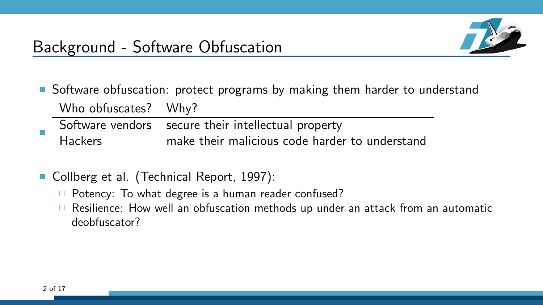

- Software obfuscation: protect programs by making them harder to understand Who obfuscates? Why?
- E Software vendors secure their intellectual property Hackers make their malicious code harder to understand
- Collberg et al. (Technical Report, 1997):
	- $\Box$  Potency: To what degree is a human reader confused?
	- $\Box$  Resilience: How well an obfuscation methods up under an attack from an automatic deobfuscator?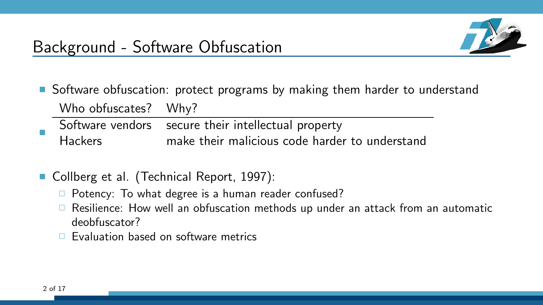

- Software obfuscation: protect programs by making them harder to understand Who obfuscates? Why?
- E Software vendors secure their intellectual property Hackers make their malicious code harder to understand
- Collberg et al. (Technical Report, 1997):
	- $\Box$  Potency: To what degree is a human reader confused?
	- $\Box$  Resilience: How well an obfuscation methods up under an attack from an automatic deobfuscator?
	- $\Box$  Evaluation based on software metrics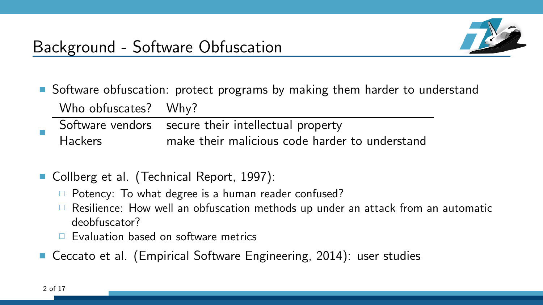

- Software obfuscation: protect programs by making them harder to understand Who obfuscates? Why?
- E Software vendors secure their intellectual property Hackers make their malicious code harder to understand
- Collberg et al. (Technical Report, 1997):
	- $\Box$  Potency: To what degree is a human reader confused?
	- $\Box$  Resilience: How well an obfuscation methods up under an attack from an automatic deobfuscator?
	- $\Box$  Evaluation based on software metrics
- Ceccato et al. (Empirical Software Engineering, 2014): user studies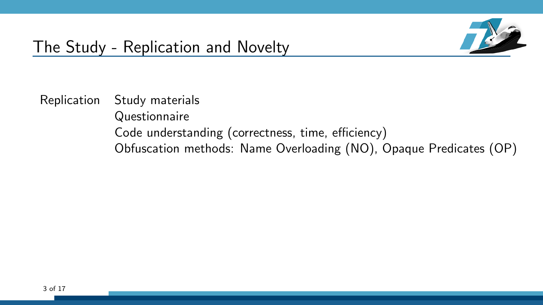

### The Study - Replication and Novelty

Replication Study materials **Questionnaire** Code understanding (correctness, time, efficiency) Obfuscation methods: Name Overloading (NO), Opaque Predicates (OP)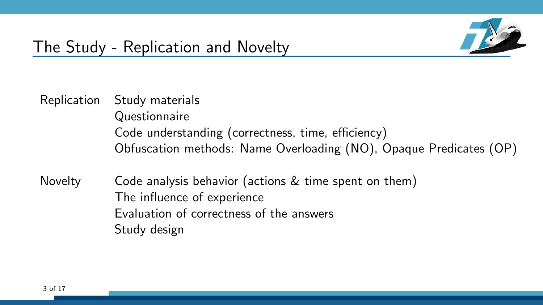

### The Study - Replication and Novelty

- Replication Study materials **Questionnaire** Code understanding (correctness, time, efficiency) Obfuscation methods: Name Overloading (NO), Opaque Predicates (OP)
- Novelty Code analysis behavior (actions & time spent on them) The influence of experience Evaluation of correctness of the answers Study design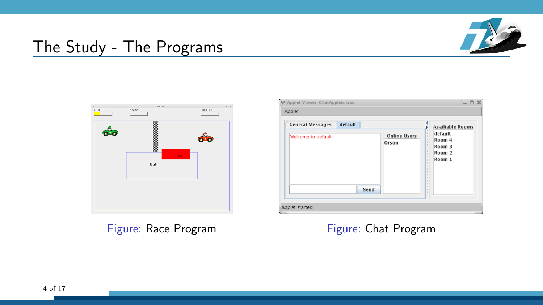

### The Study - The Programs



Figure: Race Program Figure: Chat Program

| Applet                  |                         |
|-------------------------|-------------------------|
| <b>General Messages</b> | <b>Availiable Rooms</b> |
| default                 | default                 |
| <b>Online Users</b>     | Room 4                  |
| Welcome to default      | Room 3                  |
| Orson                   | Room 2                  |
| Send                    | Room 1                  |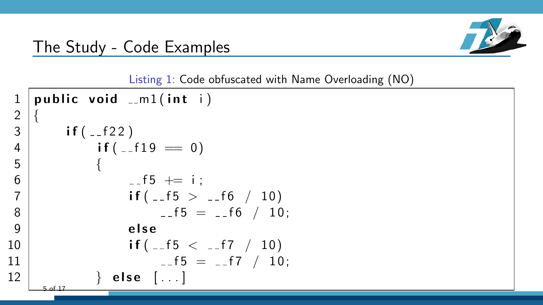### The Study - Code Examples



Listing 1: Code obfuscated with Name Overloading (NO)

```
public void -m1(int i)\frac{2}{3}if (-1)4 \vert if (_{-1}f 19 \vert = 0)
5 {
6 -15 \div 1;
7 \vert if ( -15 > -16 / 10)
8 -5 = -6 / 10;
9 else
10 | if (-5 < -17 / 10)
11 | -5 = -17 / 10;12 | else [...]5 of 17
```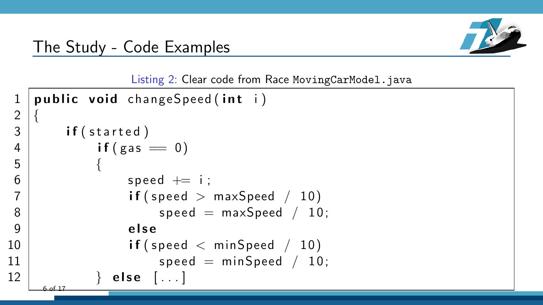

Listing 2: Clear code from Race MovingCarModel.java

```
public void changeSpeed (int i)
\frac{2}{3}if (started)
4 if (gas = 0)5 {
6 speed += i;
7 | if ( speed > maxSpeed / 10)
8 speed = maxSpeed / 10;
9 else
10 \vert if (speed \langle minSpeed / 10)
11 speed = minSpeed / 10;
12 } else [...]6 of 17
```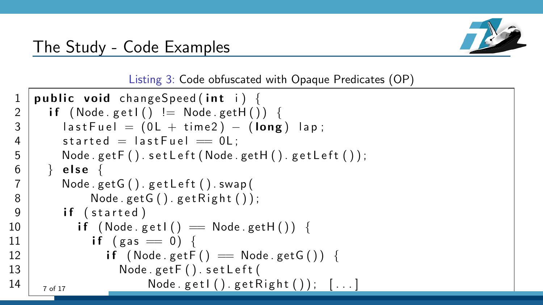

### The Study - Code Examples

Listing 3: Code obfuscated with Opaque Predicates (OP)

```
public void changeSpeed (int i) {
2 if (Node.get1() != Node.getH())3 last Fuel = (0L + time2) - (long) lap;
4 started = last Fuel = 0L :
 5 | Node .getF() \mathsf{setLeft}(\mathsf{Node.getH}(\mathsf{)}, \mathsf{getLeft}(\mathsf{)}));
6 \mid \} else {
 7 Node . getG ( ) . g e t L e f t ( ) . swap (
8 | Node . get G() . get Right() ;
9 if (started)
10 | if (Node.getl() = Node.getH()) {
11 if (gas = 0) {
12 | if (Node.getF() == Node.getG()) {
13 | Node . get F() set Left (
14 | _{7 \text{ of } 17} Node.get I ().get Right ()); [...]
```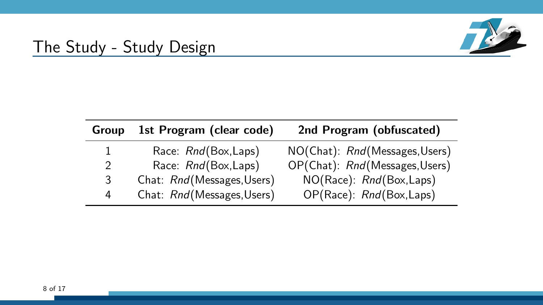

### The Study - Study Design

| Group | 1st Program (clear code)   | 2nd Program (obfuscated)       |
|-------|----------------------------|--------------------------------|
| 1     | Race: Rnd(Box,Laps)        | NO(Chat): Rnd(Messages, Users) |
| 2     | Race: Rnd(Box,Laps)        | OP(Chat): Rnd(Messages, Users) |
| 3     | Chat: Rnd(Messages, Users) | NO(Race): Rnd(Box,Laps)        |
| 4     | Chat: Rnd(Messages, Users) | OP(Race): Rnd(Box,Laps)        |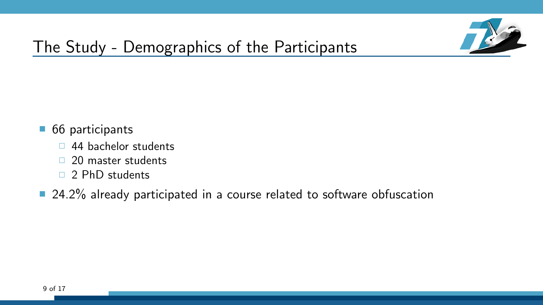

## The Study - Demographics of the Participants

- 66 participants
	- □ 44 bachelor students
	- $\Box$  20 master students
	- 2 PhD students
- 24.2% already participated in a course related to software obfuscation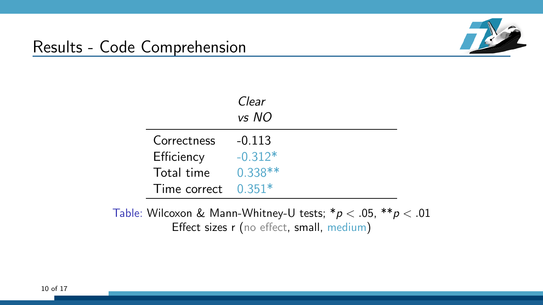

### Results - Code Comprehension

|                     | Clear<br>vs NO |
|---------------------|----------------|
| Correctness         | $-0.113$       |
| Efficiency          | $-0.312*$      |
| Total time          | $0.338**$      |
| Time correct 0.351* |                |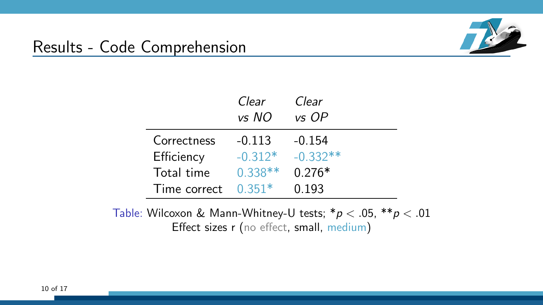

### Results - Code Comprehension

|              | Clear<br>vs NO | Clear<br>vs OP |
|--------------|----------------|----------------|
| Correctness  | $-0.113$       | $-0.154$       |
| Efficiency   | $-0.312*$      | $-0.332**$     |
| Total time   | $0.338**$      | $0.276*$       |
| Time correct | $0.351*$       | 0.193          |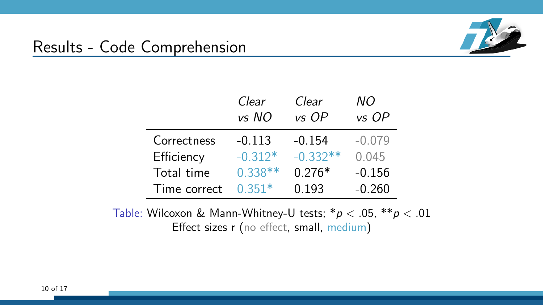

### Results - Code Comprehension

|              | Clear<br>vs NO | Clear<br>vs OP | ΝO<br>vs OP |
|--------------|----------------|----------------|-------------|
| Correctness  | $-0.113$       | $-0.154$       | $-0.079$    |
| Efficiency   | $-0.312*$      | $-0.332**$     | 0.045       |
| Total time   | $0.338**$      | $0.276*$       | $-0.156$    |
| Time correct | $0.351*$       | 0.193          | $-0.260$    |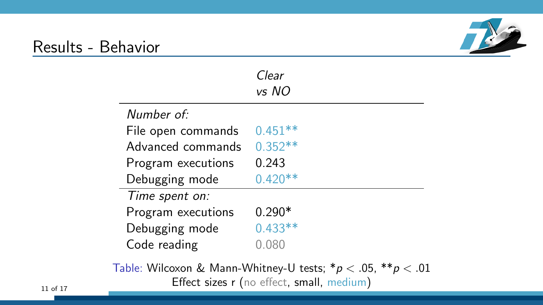### Results - Behavior

÷



|                    | Clear     |
|--------------------|-----------|
|                    | vs NO     |
| Number of:         |           |
| File open commands | $0.451**$ |
| Advanced commands  | $0.352**$ |
| Program executions | 0.243     |
| Debugging mode     | $0.420**$ |
| Time spent on:     |           |
| Program executions | $0.290*$  |
| Debugging mode     | $0.433**$ |
| Code reading       | 0.080     |
|                    |           |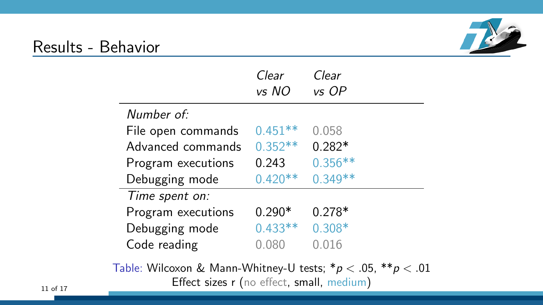### Results - Behavior

|                    | Clear<br>vs NO | Clear<br>vs OP |
|--------------------|----------------|----------------|
| Number of:         |                |                |
| File open commands | $0.451**$      | 0.058          |
| Advanced commands  | $0.352**$      | $0.282*$       |
| Program executions | 0.243          | $0.356**$      |
| Debugging mode     | $0.420**$      | $0.349**$      |
| Time spent on:     |                |                |
| Program executions | $0.290*$       | $0.278*$       |
| Debugging mode     | $0.433**$      | $0.308*$       |
| Code reading       | 0.080          | 0.016          |
|                    |                |                |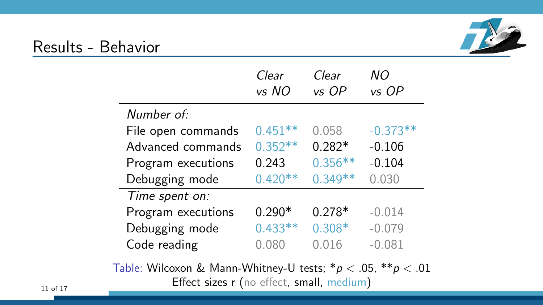### Results - Behavior

|                    | Clear     | Clear     | NΟ         |
|--------------------|-----------|-----------|------------|
|                    | vs NO     | vs OP     | vs OP      |
| Number of:         |           |           |            |
| File open commands | $0.451**$ | 0.058     | $-0.373**$ |
| Advanced commands  | $0.352**$ | $0.282*$  | $-0.106$   |
| Program executions | 0.243     | $0.356**$ | $-0.104$   |
| Debugging mode     | $0.420**$ | $0.349**$ | 0.030      |
| Time spent on:     |           |           |            |
| Program executions | $0.290*$  | $0.278*$  | $-0.014$   |
| Debugging mode     | $0.433**$ | $0.308*$  | $-0.079$   |
| Code reading       | 0.080     | 0.016     | $-0.081$   |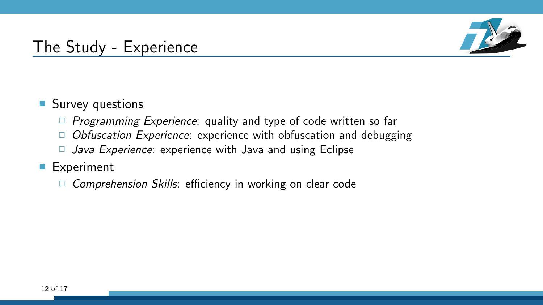

### The Study - Experience

### ■ Survey questions

- $\Box$  Programming Experience: quality and type of code written so far
- $\Box$  Obfuscation Experience: experience with obfuscation and debugging
- $\Box$  Java Experience: experience with Java and using Eclipse

### ■ Experiment

 $\Box$  Comprehension Skills: efficiency in working on clear code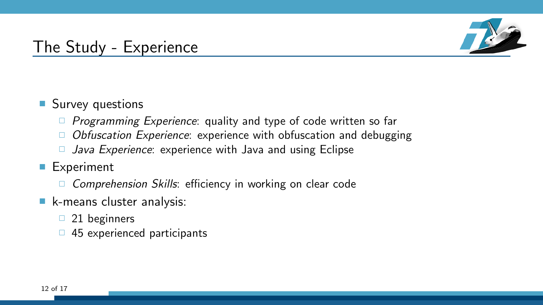

### The Study - Experience

### **Survey questions**

- $\Box$  Programming Experience: quality and type of code written so far
- $\Box$  Obfuscation Experience: experience with obfuscation and debugging
- $\Box$  Java Experience: experience with Java and using Eclipse
- **Experiment** 
	- $\Box$  Comprehension Skills: efficiency in working on clear code
- **k-means cluster analysis:** 
	- $\Box$  21 beginners
	- $\Box$  45 experienced participants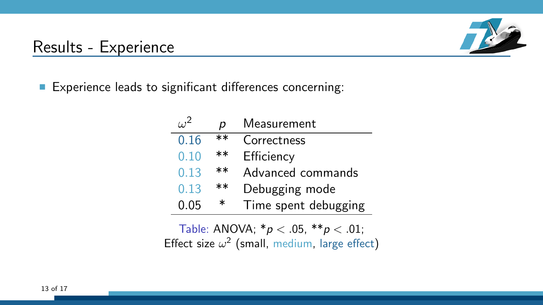## Results - Experience



Experience leads to significant differences concerning:

٠

ż.

|      | р     | Measurement          |
|------|-------|----------------------|
| 0.16 | $***$ | Correctness          |
| 0.10 | **    | Efficiency           |
| 0.13 | $***$ | Advanced commands    |
| 0.13 | $***$ | Debugging mode       |
| 0.05 | ∗     | Time spent debugging |

Table: ANOVA;  $* p < .05$ ,  $** p < .01$ ; Effect size  $\omega^2$  (small, medium, large effect)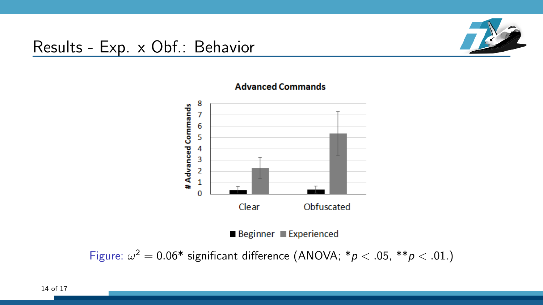### Results - Exp. x Obf.: Behavior





### **Advanced Commands**

Beginner Experienced

Figure:  $\omega^2 = 0.06^*$  significant difference (ANOVA;  $p < .05$ ,  $p \times .01$ .)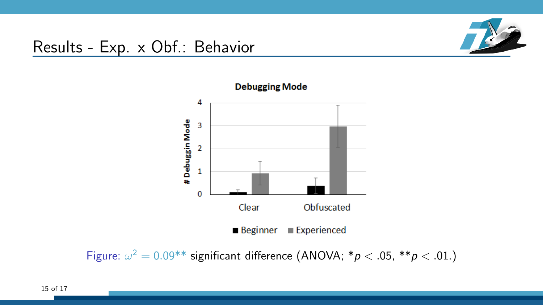### Results - Exp. x Obf.: Behavior





Figure:  $\omega^2 = 0.09^{**}$  significant difference (ANOVA;  $^*p < .05$ ,  $^{**}p < .01$ .)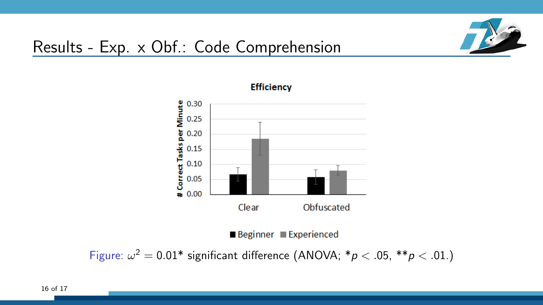

### Results - Exp. x Obf.: Code Comprehension





Figure:  $\omega^2 = 0.01^*$  significant difference (ANOVA;  $^*p < .05$ ,  $^{**}p < .01$ .)